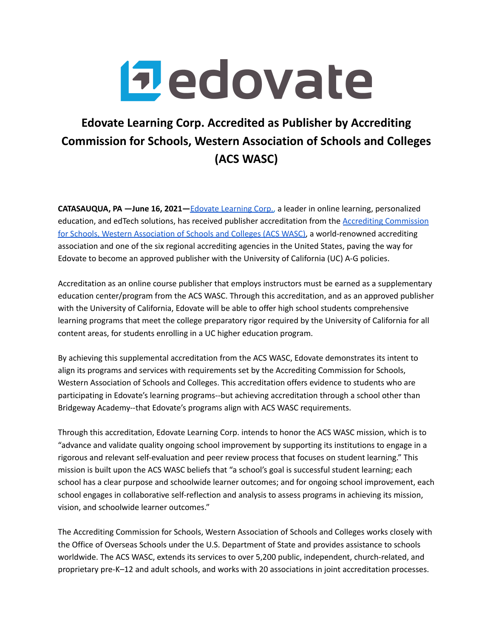

## **Edovate Learning Corp. Accredited as Publisher by Accrediting Commission for Schools, Western Association of Schools and Colleges (ACS WASC)**

**CATASAUQUA, PA —June 16, 2021—**Edovate [Learning](https://www.edovate.com/#main) Corp., a leader in online learning, personalized education, and edTech solutions, has received publisher accreditation from the Accrediting [Commission](https://www.acswasc.org/) for Schools, Western [Association](https://www.acswasc.org/) of Schools and Colleges (ACS WASC), a world-renowned accrediting association and one of the six regional accrediting agencies in the United States, paving the way for Edovate to become an approved publisher with the University of California (UC) A-G policies.

Accreditation as an online course publisher that employs instructors must be earned as a supplementary education center/program from the ACS WASC. Through this accreditation, and as an approved publisher with the University of California, Edovate will be able to offer high school students comprehensive learning programs that meet the college preparatory rigor required by the University of California for all content areas, for students enrolling in a UC higher education program.

By achieving this supplemental accreditation from the ACS WASC, Edovate demonstrates its intent to align its programs and services with requirements set by the Accrediting Commission for Schools, Western Association of Schools and Colleges. This accreditation offers evidence to students who are participating in Edovate's learning programs--but achieving accreditation through a school other than Bridgeway Academy--that Edovate's programs align with ACS WASC requirements.

Through this accreditation, Edovate Learning Corp. intends to honor the ACS WASC mission, which is to "advance and validate quality ongoing school improvement by supporting its institutions to engage in a rigorous and relevant self-evaluation and peer review process that focuses on student learning." This mission is built upon the ACS WASC beliefs that "a school's goal is successful student learning; each school has a clear purpose and schoolwide learner outcomes; and for ongoing school improvement, each school engages in collaborative self-reflection and analysis to assess programs in achieving its mission, vision, and schoolwide learner outcomes."

The Accrediting Commission for Schools, Western Association of Schools and Colleges works closely with the Office of Overseas Schools under the U.S. Department of State and provides assistance to schools worldwide. The ACS WASC, extends its services to over 5,200 public, independent, church-related, and proprietary pre-K–12 and adult schools, and works with 20 associations in joint accreditation processes.